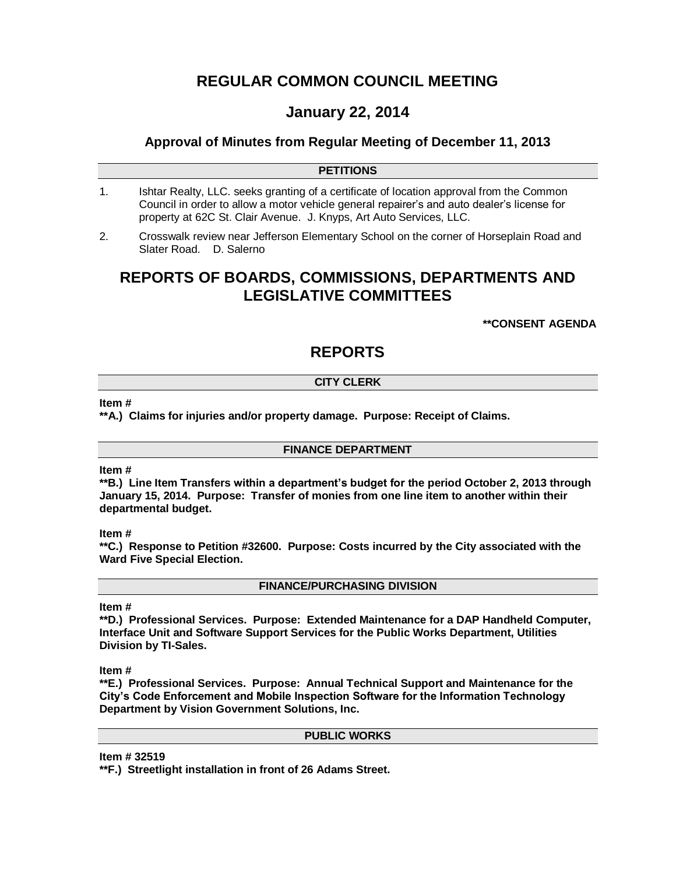# **REGULAR COMMON COUNCIL MEETING**

# **January 22, 2014**

### **Approval of Minutes from Regular Meeting of December 11, 2013**

### **PETITIONS**

- 1. Ishtar Realty, LLC. seeks granting of a certificate of location approval from the Common Council in order to allow a motor vehicle general repairer's and auto dealer's license for property at 62C St. Clair Avenue. J. Knyps, Art Auto Services, LLC.
- 2. Crosswalk review near Jefferson Elementary School on the corner of Horseplain Road and Slater Road. D. Salerno

# **REPORTS OF BOARDS, COMMISSIONS, DEPARTMENTS AND LEGISLATIVE COMMITTEES**

**\*\*CONSENT AGENDA**

# **REPORTS**

### **CITY CLERK**

#### **Item #**

**\*\*A.) Claims for injuries and/or property damage. Purpose: Receipt of Claims.**

### **FINANCE DEPARTMENT**

### **Item #**

**\*\*B.) Line Item Transfers within a department's budget for the period October 2, 2013 through January 15, 2014. Purpose: Transfer of monies from one line item to another within their departmental budget.**

### **Item #**

**\*\*C.) Response to Petition #32600. Purpose: Costs incurred by the City associated with the Ward Five Special Election.**

**FINANCE/PURCHASING DIVISION**

### **Item #**

**\*\*D.) Professional Services. Purpose: Extended Maintenance for a DAP Handheld Computer, Interface Unit and Software Support Services for the Public Works Department, Utilities Division by TI-Sales.**

**Item #**

**\*\*E.) Professional Services. Purpose: Annual Technical Support and Maintenance for the City's Code Enforcement and Mobile Inspection Software for the Information Technology Department by Vision Government Solutions, Inc.**

### **PUBLIC WORKS**

**Item # 32519**

**\*\*F.) Streetlight installation in front of 26 Adams Street.**